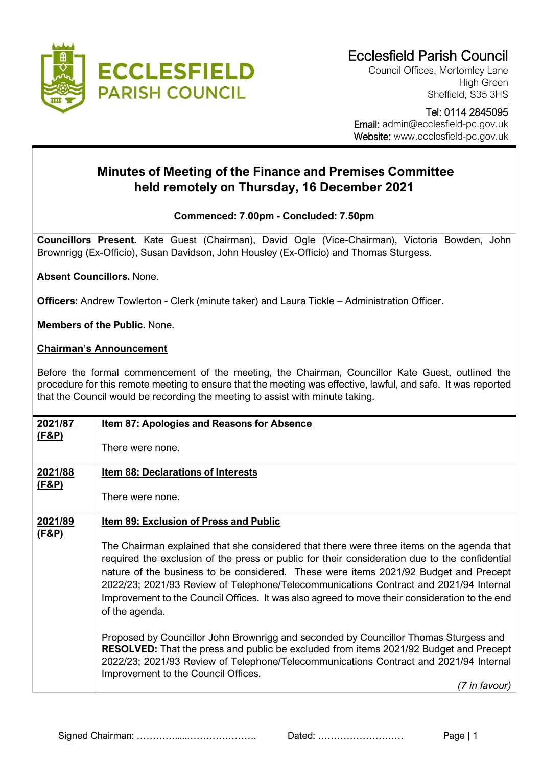

Council Offices, Mortomley Lane High Green Sheffield, S35 3HS

 Tel: 0114 2845095 Email: admin@ecclesfield-pc.gov.uk Website: www.ecclesfield-pc.gov.uk

## **Minutes of Meeting of the Finance and Premises Committee held remotely on Thursday, 16 December 2021**

## **Commenced: 7.00pm - Concluded: 7.50pm**

**Councillors Present.** Kate Guest (Chairman), David Ogle (Vice-Chairman), Victoria Bowden, John Brownrigg (Ex-Officio), Susan Davidson, John Housley (Ex-Officio) and Thomas Sturgess.

**Absent Councillors.** None.

**Officers:** Andrew Towlerton - Clerk (minute taker) and Laura Tickle – Administration Officer.

**Members of the Public.** None.

## **Chairman's Announcement**

Before the formal commencement of the meeting, the Chairman, Councillor Kate Guest, outlined the procedure for this remote meeting to ensure that the meeting was effective, lawful, and safe. It was reported that the Council would be recording the meeting to assist with minute taking.

| 2021/87<br><u>(F&amp;P)</u> | <b>Item 87: Apologies and Reasons for Absence</b>                                                                                                                                                                                                                                                                                                                                                                                                                                              |
|-----------------------------|------------------------------------------------------------------------------------------------------------------------------------------------------------------------------------------------------------------------------------------------------------------------------------------------------------------------------------------------------------------------------------------------------------------------------------------------------------------------------------------------|
|                             | There were none.                                                                                                                                                                                                                                                                                                                                                                                                                                                                               |
| 2021/88                     | <b>Item 88: Declarations of Interests</b>                                                                                                                                                                                                                                                                                                                                                                                                                                                      |
| <u>(F&amp;P)</u>            | There were none.                                                                                                                                                                                                                                                                                                                                                                                                                                                                               |
| 2021/89                     | <b>Item 89: Exclusion of Press and Public</b>                                                                                                                                                                                                                                                                                                                                                                                                                                                  |
| <u>(F&amp;P)</u>            | The Chairman explained that she considered that there were three items on the agenda that<br>required the exclusion of the press or public for their consideration due to the confidential<br>nature of the business to be considered. These were items 2021/92 Budget and Precept<br>2022/23; 2021/93 Review of Telephone/Telecommunications Contract and 2021/94 Internal<br>Improvement to the Council Offices. It was also agreed to move their consideration to the end<br>of the agenda. |
|                             | Proposed by Councillor John Brownrigg and seconded by Councillor Thomas Sturgess and<br><b>RESOLVED:</b> That the press and public be excluded from items 2021/92 Budget and Precept<br>2022/23; 2021/93 Review of Telephone/Telecommunications Contract and 2021/94 Internal<br>Improvement to the Council Offices.<br>(7 in favour)                                                                                                                                                          |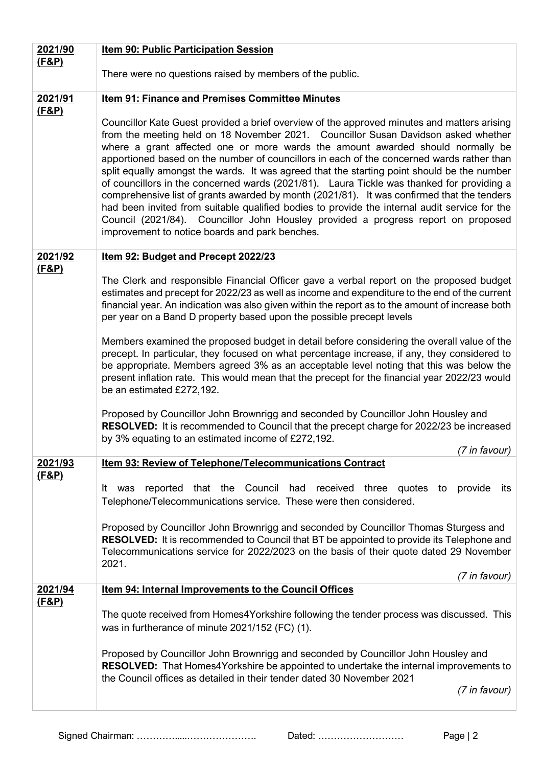| 2021/90                     | Item 90: Public Participation Session                                                                                                                                                                                                                                                                                                                                                                                                                                                                                                                                                                                                                                                                                                                                                                                                                                                              |
|-----------------------------|----------------------------------------------------------------------------------------------------------------------------------------------------------------------------------------------------------------------------------------------------------------------------------------------------------------------------------------------------------------------------------------------------------------------------------------------------------------------------------------------------------------------------------------------------------------------------------------------------------------------------------------------------------------------------------------------------------------------------------------------------------------------------------------------------------------------------------------------------------------------------------------------------|
| <u>(F&amp;P)</u>            |                                                                                                                                                                                                                                                                                                                                                                                                                                                                                                                                                                                                                                                                                                                                                                                                                                                                                                    |
|                             | There were no questions raised by members of the public.                                                                                                                                                                                                                                                                                                                                                                                                                                                                                                                                                                                                                                                                                                                                                                                                                                           |
| 2021/91                     | Item 91: Finance and Premises Committee Minutes                                                                                                                                                                                                                                                                                                                                                                                                                                                                                                                                                                                                                                                                                                                                                                                                                                                    |
| (F&P)                       | Councillor Kate Guest provided a brief overview of the approved minutes and matters arising<br>from the meeting held on 18 November 2021. Councillor Susan Davidson asked whether<br>where a grant affected one or more wards the amount awarded should normally be<br>apportioned based on the number of councillors in each of the concerned wards rather than<br>split equally amongst the wards. It was agreed that the starting point should be the number<br>of councillors in the concerned wards (2021/81). Laura Tickle was thanked for providing a<br>comprehensive list of grants awarded by month (2021/81). It was confirmed that the tenders<br>had been invited from suitable qualified bodies to provide the internal audit service for the<br>Council (2021/84). Councillor John Housley provided a progress report on proposed<br>improvement to notice boards and park benches. |
| 2021/92                     | Item 92: Budget and Precept 2022/23                                                                                                                                                                                                                                                                                                                                                                                                                                                                                                                                                                                                                                                                                                                                                                                                                                                                |
| <u>(F&amp;P)</u>            | The Clerk and responsible Financial Officer gave a verbal report on the proposed budget<br>estimates and precept for 2022/23 as well as income and expenditure to the end of the current<br>financial year. An indication was also given within the report as to the amount of increase both<br>per year on a Band D property based upon the possible precept levels                                                                                                                                                                                                                                                                                                                                                                                                                                                                                                                               |
|                             | Members examined the proposed budget in detail before considering the overall value of the<br>precept. In particular, they focused on what percentage increase, if any, they considered to<br>be appropriate. Members agreed 3% as an acceptable level noting that this was below the<br>present inflation rate. This would mean that the precept for the financial year 2022/23 would<br>be an estimated £272,192.                                                                                                                                                                                                                                                                                                                                                                                                                                                                                |
|                             | Proposed by Councillor John Brownrigg and seconded by Councillor John Housley and<br><b>RESOLVED:</b> It is recommended to Council that the precept charge for 2022/23 be increased<br>by 3% equating to an estimated income of £272,192.<br>(7 in favour)                                                                                                                                                                                                                                                                                                                                                                                                                                                                                                                                                                                                                                         |
| 2021/93                     | Item 93: Review of Telephone/Telecommunications Contract                                                                                                                                                                                                                                                                                                                                                                                                                                                                                                                                                                                                                                                                                                                                                                                                                                           |
| <u>(F&amp;P)</u>            | reported that the Council had received three quotes to<br>provide<br>lt was<br>its<br>Telephone/Telecommunications service. These were then considered.                                                                                                                                                                                                                                                                                                                                                                                                                                                                                                                                                                                                                                                                                                                                            |
|                             | Proposed by Councillor John Brownrigg and seconded by Councillor Thomas Sturgess and<br><b>RESOLVED:</b> It is recommended to Council that BT be appointed to provide its Telephone and<br>Telecommunications service for 2022/2023 on the basis of their quote dated 29 November<br>2021.                                                                                                                                                                                                                                                                                                                                                                                                                                                                                                                                                                                                         |
|                             | (7 in favour)                                                                                                                                                                                                                                                                                                                                                                                                                                                                                                                                                                                                                                                                                                                                                                                                                                                                                      |
| 2021/94<br><u>(F&amp;P)</u> | <b>Item 94: Internal Improvements to the Council Offices</b>                                                                                                                                                                                                                                                                                                                                                                                                                                                                                                                                                                                                                                                                                                                                                                                                                                       |
|                             | The quote received from Homes4Yorkshire following the tender process was discussed. This<br>was in furtherance of minute 2021/152 (FC) (1).                                                                                                                                                                                                                                                                                                                                                                                                                                                                                                                                                                                                                                                                                                                                                        |
|                             | Proposed by Councillor John Brownrigg and seconded by Councillor John Housley and<br><b>RESOLVED:</b> That Homes4Yorkshire be appointed to undertake the internal improvements to<br>the Council offices as detailed in their tender dated 30 November 2021<br>(7 in favour)                                                                                                                                                                                                                                                                                                                                                                                                                                                                                                                                                                                                                       |
|                             |                                                                                                                                                                                                                                                                                                                                                                                                                                                                                                                                                                                                                                                                                                                                                                                                                                                                                                    |